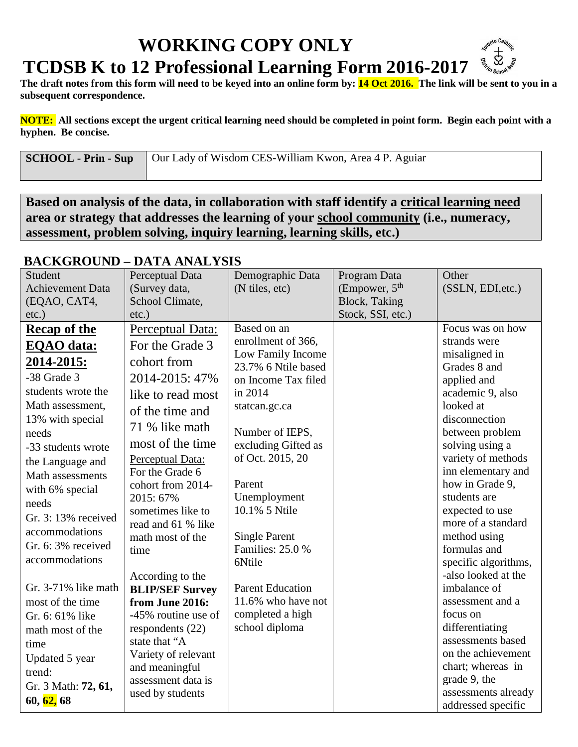**The draft notes from this form will need to be keyed into an online form by: 14 Oct 2016. The link will be sent to you in a subsequent correspondence.**

**NOTE: All sections except the urgent critical learning need should be completed in point form. Begin each point with a hyphen. Be concise.**

| SCHOOL - Prin - Sup   Our Lady of Wisdom CES-William Kwon, Area 4 P. Aguiar |
|-----------------------------------------------------------------------------|
|                                                                             |

**Based on analysis of the data, in collaboration with staff identify a critical learning need area or strategy that addresses the learning of your school community (i.e., numeracy, assessment, problem solving, inquiry learning, learning skills, etc.)**

#### **BACKGROUND – DATA ANALYSIS**

| Student                   | Perceptual Data        | Demographic Data                         | Program Data      | Other                            |
|---------------------------|------------------------|------------------------------------------|-------------------|----------------------------------|
| <b>Achievement Data</b>   | (Survey data,          | (N tiles, etc)                           | (Empower, $5th$   | (SSLN, EDI, etc.)                |
| (EQAO, CAT4,              | School Climate,        | Block, Taking                            |                   |                                  |
| $etc.$ )                  | $etc.$ )               |                                          | Stock, SSI, etc.) |                                  |
| <b>Recap of the</b>       | Perceptual Data:       | Based on an                              |                   | Focus was on how                 |
| EQAO data:                | For the Grade 3        | enrollment of 366,                       |                   | strands were                     |
| <u>2014-2015:</u>         | cohort from            | Low Family Income<br>23.7% 6 Ntile based |                   | misaligned in<br>Grades 8 and    |
| -38 Grade 3               | 2014-2015: 47%         | on Income Tax filed                      |                   | applied and                      |
| students wrote the        | like to read most      | in 2014                                  |                   | academic 9, also                 |
| Math assessment,          | of the time and        | statcan.gc.ca                            |                   | looked at                        |
| 13% with special<br>needs | 71 % like math         | Number of IEPS,                          |                   | disconnection<br>between problem |
| -33 students wrote        | most of the time       | excluding Gifted as                      |                   | solving using a                  |
| the Language and          | Perceptual Data:       | of Oct. 2015, 20                         |                   | variety of methods               |
| Math assessments          | For the Grade 6        |                                          |                   | inn elementary and               |
| with 6% special           | cohort from 2014-      | Parent                                   |                   | how in Grade 9,                  |
| needs                     | 2015: 67%              | Unemployment                             |                   | students are                     |
| Gr. 3: 13% received       | sometimes like to      | 10.1% 5 Ntile                            |                   | expected to use                  |
| accommodations            | read and 61 % like     |                                          |                   | more of a standard               |
| Gr. 6:3% received         | math most of the       | <b>Single Parent</b>                     |                   | method using                     |
| accommodations            | time                   | Families: 25.0 %                         |                   | formulas and                     |
|                           |                        | 6Ntile                                   |                   | specific algorithms,             |
|                           | According to the       |                                          |                   | -also looked at the              |
| Gr. 3-71% like math       | <b>BLIP/SEF Survey</b> | <b>Parent Education</b>                  |                   | imbalance of                     |
| most of the time          | from June 2016:        | 11.6% who have not                       |                   | assessment and a                 |
| Gr. 6: 61% like           | -45% routine use of    | completed a high                         |                   | focus on                         |
| math most of the          | respondents (22)       | school diploma                           |                   | differentiating                  |
| time                      | state that "A          |                                          |                   | assessments based                |
| Updated 5 year            | Variety of relevant    |                                          |                   | on the achievement               |
| trend:                    | and meaningful         |                                          |                   | chart; whereas in                |
| Gr. 3 Math: 72, 61,       | assessment data is     |                                          |                   | grade 9, the                     |
| 60, 62, 68                | used by students       |                                          |                   | assessments already              |
|                           |                        |                                          |                   | addressed specific               |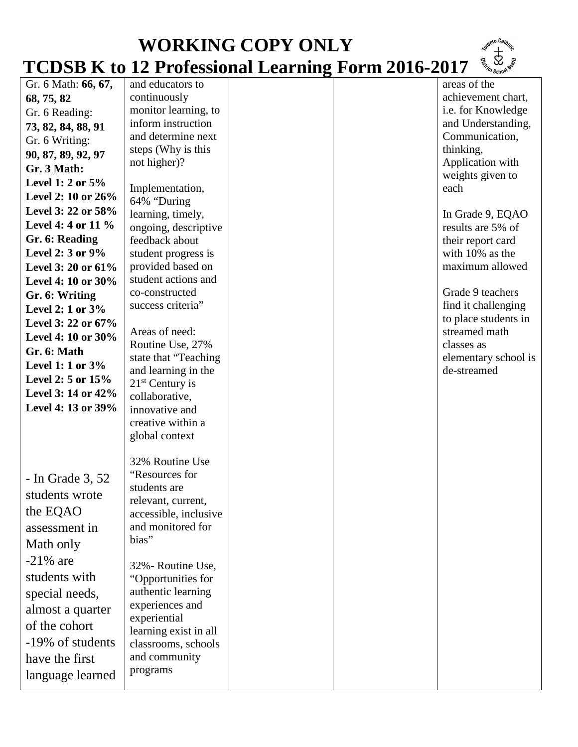

| Gr. 6 Math: 66, 67,    | and educators to                            |  | areas of the                         |
|------------------------|---------------------------------------------|--|--------------------------------------|
| 68, 75, 82             | continuously                                |  | achievement chart,                   |
| Gr. 6 Reading:         | monitor learning, to                        |  | i.e. for Knowledge                   |
| 73, 82, 84, 88, 91     | inform instruction                          |  | and Understanding,                   |
| Gr. 6 Writing:         | and determine next                          |  | Communication,                       |
| 90, 87, 89, 92, 97     | steps (Why is this                          |  | thinking,                            |
| Gr. 3 Math:            | not higher)?                                |  | Application with                     |
| Level 1: 2 or $5\%$    |                                             |  | weights given to                     |
| Level 2: 10 or 26%     | Implementation,                             |  | each                                 |
| Level 3: 22 or 58%     | 64% "During                                 |  |                                      |
| Level 4: 4 or 11 %     | learning, timely,                           |  | In Grade 9, EQAO                     |
| Gr. 6: Reading         | ongoing, descriptive<br>feedback about      |  | results are 5% of                    |
| Level 2: 3 or 9%       |                                             |  | their report card<br>with 10% as the |
| Level 3: 20 or 61%     | student progress is<br>provided based on    |  | maximum allowed                      |
|                        | student actions and                         |  |                                      |
| Level 4: 10 or 30%     | co-constructed                              |  | Grade 9 teachers                     |
| Gr. 6: Writing         | success criteria"                           |  | find it challenging                  |
| Level 2: 1 or $3\%$    |                                             |  | to place students in                 |
| Level 3: 22 or 67%     | Areas of need:                              |  | streamed math                        |
| Level 4: 10 or 30%     | Routine Use, 27%                            |  | classes as                           |
| Gr. 6: Math            | state that "Teaching                        |  | elementary school is                 |
| Level 1: 1 or $3\%$    | and learning in the                         |  | de-streamed                          |
| Level 2: $5$ or $15\%$ | $21st$ Century is                           |  |                                      |
| Level 3: 14 or 42%     | collaborative,                              |  |                                      |
| Level 4: 13 or 39%     | innovative and                              |  |                                      |
|                        | creative within a                           |  |                                      |
|                        | global context                              |  |                                      |
|                        |                                             |  |                                      |
|                        | 32% Routine Use                             |  |                                      |
| - In Grade $3, 52$     | "Resources for                              |  |                                      |
| students wrote         | students are                                |  |                                      |
| the EQAO               | relevant, current,<br>accessible, inclusive |  |                                      |
| assessment in          | and monitored for                           |  |                                      |
|                        | bias"                                       |  |                                      |
| Math only              |                                             |  |                                      |
| $-21\%$ are            | 32%- Routine Use,                           |  |                                      |
| students with          | "Opportunities for                          |  |                                      |
| special needs,         | authentic learning                          |  |                                      |
|                        | experiences and                             |  |                                      |
| almost a quarter       | experiential                                |  |                                      |
| of the cohort          | learning exist in all                       |  |                                      |
| -19% of students       | classrooms, schools                         |  |                                      |
| have the first         | and community                               |  |                                      |
| language learned       | programs                                    |  |                                      |
|                        |                                             |  |                                      |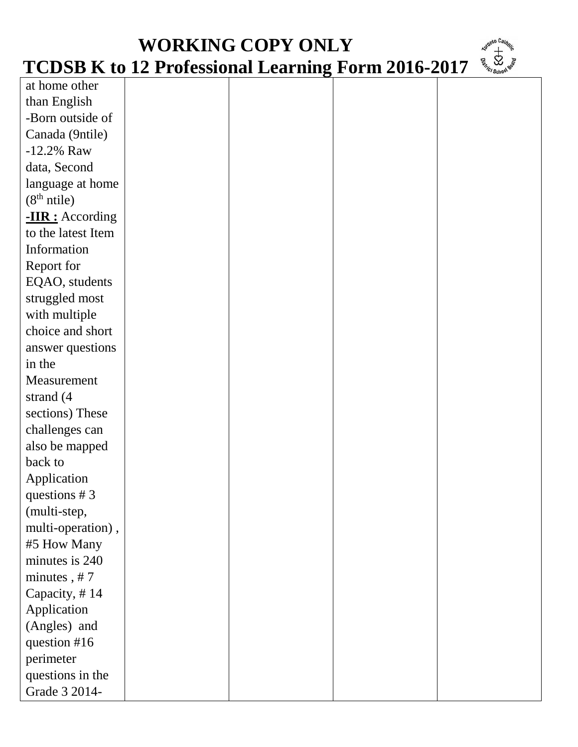| at home other           |  |  |
|-------------------------|--|--|
| than English            |  |  |
| -Born outside of        |  |  |
| Canada (9ntile)         |  |  |
| $-12.2%$ Raw            |  |  |
| data, Second            |  |  |
| language at home        |  |  |
| (8 <sup>th</sup> ntile) |  |  |
| $-HR:$ According        |  |  |
| to the latest Item      |  |  |
| Information             |  |  |
| Report for              |  |  |
| EQAO, students          |  |  |
| struggled most          |  |  |
| with multiple           |  |  |
| choice and short        |  |  |
| answer questions        |  |  |
| in the                  |  |  |
| Measurement             |  |  |
| strand (4               |  |  |
| sections) These         |  |  |
| challenges can          |  |  |
| also be mapped          |  |  |
| back to                 |  |  |
| Application             |  |  |
| questions $# 3$         |  |  |
| (multi-step,            |  |  |
| multi-operation),       |  |  |
| #5 How Many             |  |  |
| minutes is 240          |  |  |
| minutes, #7             |  |  |
| Capacity, #14           |  |  |
| Application             |  |  |
| (Angles) and            |  |  |
| question #16            |  |  |
| perimeter               |  |  |
| questions in the        |  |  |
| Grade 3 2014-           |  |  |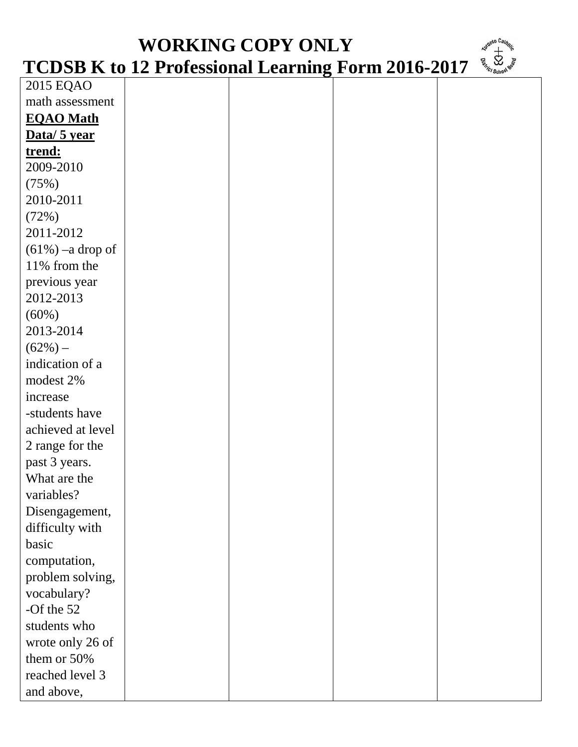| <b>WORKING COPY ONLY</b> |  |                                                           |  |  |  |
|--------------------------|--|-----------------------------------------------------------|--|--|--|
|                          |  | <b>TCDSB K to 12 Professional Learning Form 2016-2017</b> |  |  |  |
| 2015 EQAO                |  |                                                           |  |  |  |
| math assessment          |  |                                                           |  |  |  |
| <b>EQAO</b> Math         |  |                                                           |  |  |  |
| Data/ 5 year             |  |                                                           |  |  |  |
| trend:                   |  |                                                           |  |  |  |
| 2009-2010                |  |                                                           |  |  |  |
| (75%)                    |  |                                                           |  |  |  |
| 2010-2011                |  |                                                           |  |  |  |
| (72%)                    |  |                                                           |  |  |  |
| 2011-2012                |  |                                                           |  |  |  |
| $(61\%)$ –a drop of      |  |                                                           |  |  |  |
| 11% from the             |  |                                                           |  |  |  |
| previous year            |  |                                                           |  |  |  |
| 2012-2013                |  |                                                           |  |  |  |
| $(60\%)$                 |  |                                                           |  |  |  |
| 2013-2014                |  |                                                           |  |  |  |
| $(62\%)$ –               |  |                                                           |  |  |  |
| indication of a          |  |                                                           |  |  |  |
| modest 2%                |  |                                                           |  |  |  |
| increase                 |  |                                                           |  |  |  |
| -students have           |  |                                                           |  |  |  |
| achieved at level        |  |                                                           |  |  |  |
| 2 range for the          |  |                                                           |  |  |  |
| past 3 years.            |  |                                                           |  |  |  |
| What are the             |  |                                                           |  |  |  |
| variables?               |  |                                                           |  |  |  |
| Disengagement,           |  |                                                           |  |  |  |
| difficulty with          |  |                                                           |  |  |  |
| basic                    |  |                                                           |  |  |  |
| computation,             |  |                                                           |  |  |  |
| problem solving,         |  |                                                           |  |  |  |
| vocabulary?              |  |                                                           |  |  |  |
| -Of the $52$             |  |                                                           |  |  |  |
| students who             |  |                                                           |  |  |  |
| wrote only 26 of         |  |                                                           |  |  |  |
| them or 50%              |  |                                                           |  |  |  |
| reached level 3          |  |                                                           |  |  |  |
| and above,               |  |                                                           |  |  |  |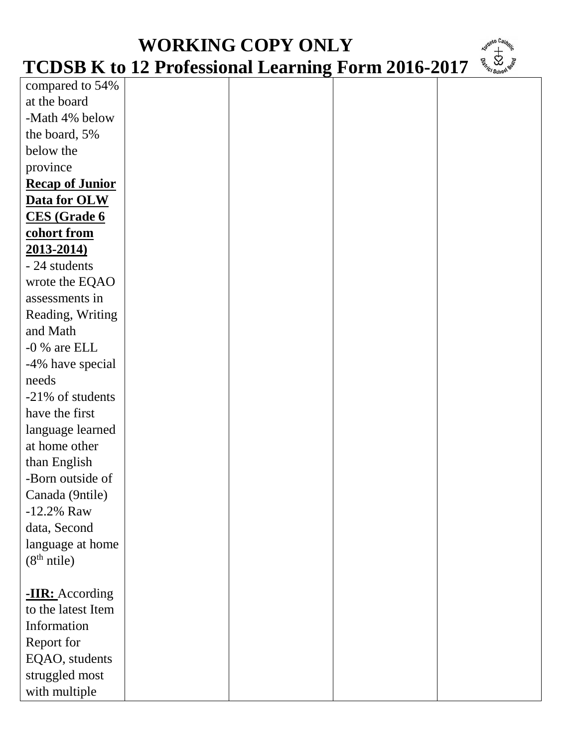| compared to 54%        |  |  |
|------------------------|--|--|
| at the board           |  |  |
| -Math 4% below         |  |  |
| the board, 5%          |  |  |
| below the              |  |  |
| province               |  |  |
| <b>Recap of Junior</b> |  |  |
| Data for OLW           |  |  |
| <b>CES</b> (Grade 6    |  |  |
| cohort from            |  |  |
| 2013-2014)             |  |  |
| - 24 students          |  |  |
| wrote the EQAO         |  |  |
| assessments in         |  |  |
| Reading, Writing       |  |  |
| and Math               |  |  |
| $-0$ % are ELL         |  |  |
| -4% have special       |  |  |
| needs                  |  |  |
| -21% of students       |  |  |
| have the first         |  |  |
| language learned       |  |  |
| at home other          |  |  |
| than English           |  |  |
| -Born outside of       |  |  |
| Canada (9ntile)        |  |  |
| $-12.2%$ Raw           |  |  |
| data, Second           |  |  |
| language at home       |  |  |
| $(8th$ ntile)          |  |  |
|                        |  |  |
| <b>-IIR:</b> According |  |  |
| to the latest Item     |  |  |
| Information            |  |  |
| Report for             |  |  |
| EQAO, students         |  |  |
| struggled most         |  |  |
| with multiple          |  |  |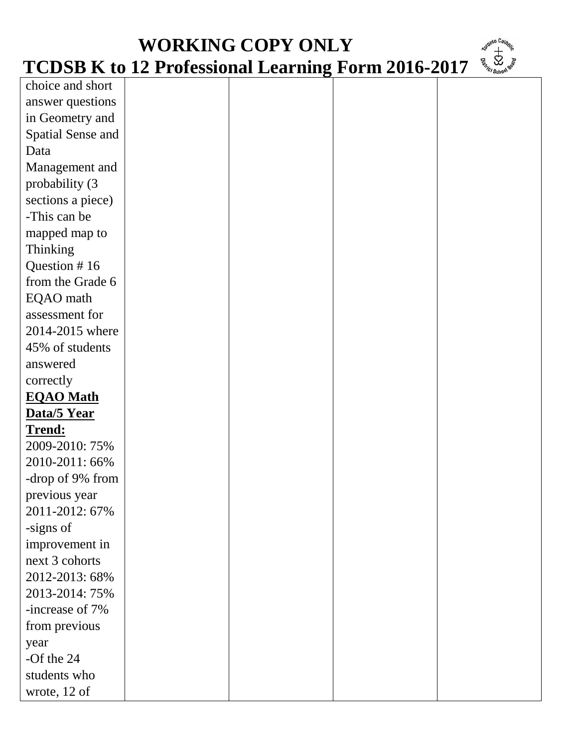| choice and short             |
|------------------------------|
| answer questions             |
| in Geometry and              |
| Spatial Sense and            |
| Data                         |
| Management and               |
| probability (3               |
| sections a piece)            |
| -This can be                 |
| mapped map to                |
| <b>Thinking</b>              |
| Question #16                 |
| from the Grade 6             |
| EQAO math                    |
| assessment for               |
| 2014-2015 where              |
| 45% of students              |
| answered                     |
| correctly                    |
|                              |
|                              |
| <b>EQAO Math</b>             |
| Data/5 Year                  |
| <u>Trend:</u>                |
| 2009-2010: 75%               |
| 2010-2011: 66%               |
| -drop of 9% from             |
| previous year                |
| 2011-2012: 67%               |
| -signs of                    |
| improvement in               |
| next 3 cohorts               |
| 2012-2013: 68%               |
| 2013-2014: 75%               |
| -increase of 7%              |
| from previous                |
| year                         |
| -Of the $24$                 |
| students who<br>wrote, 12 of |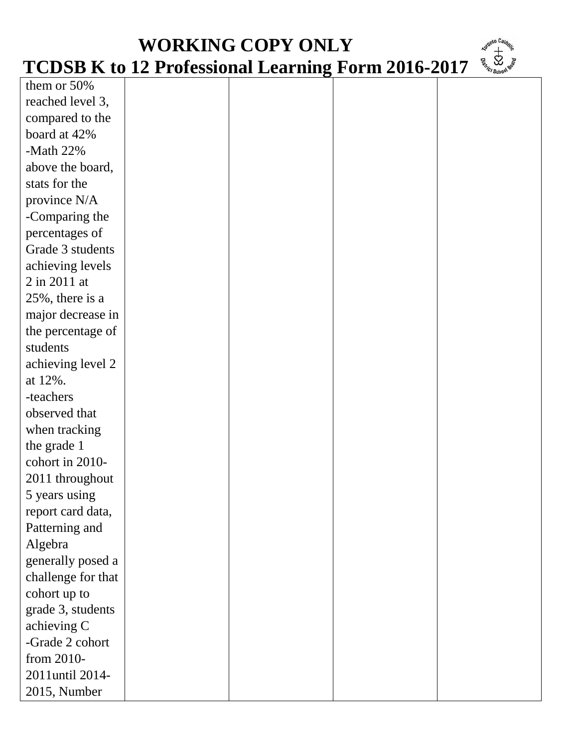| them or $50\%$     |  |  |
|--------------------|--|--|
| reached level 3,   |  |  |
| compared to the    |  |  |
| board at 42%       |  |  |
| -Math $22%$        |  |  |
| above the board,   |  |  |
| stats for the      |  |  |
| province N/A       |  |  |
| -Comparing the     |  |  |
| percentages of     |  |  |
| Grade 3 students   |  |  |
| achieving levels   |  |  |
| 2 in 2011 at       |  |  |
| 25%, there is a    |  |  |
| major decrease in  |  |  |
| the percentage of  |  |  |
| students           |  |  |
| achieving level 2  |  |  |
| at 12%.            |  |  |
| -teachers          |  |  |
| observed that      |  |  |
| when tracking      |  |  |
| the grade 1        |  |  |
| cohort in 2010-    |  |  |
| 2011 throughout    |  |  |
| 5 years using      |  |  |
| report card data,  |  |  |
| Patterning and     |  |  |
| Algebra            |  |  |
| generally posed a  |  |  |
| challenge for that |  |  |
| cohort up to       |  |  |
| grade 3, students  |  |  |
| achieving C        |  |  |
| -Grade 2 cohort    |  |  |
| from 2010-         |  |  |
| 2011until 2014-    |  |  |
| 2015, Number       |  |  |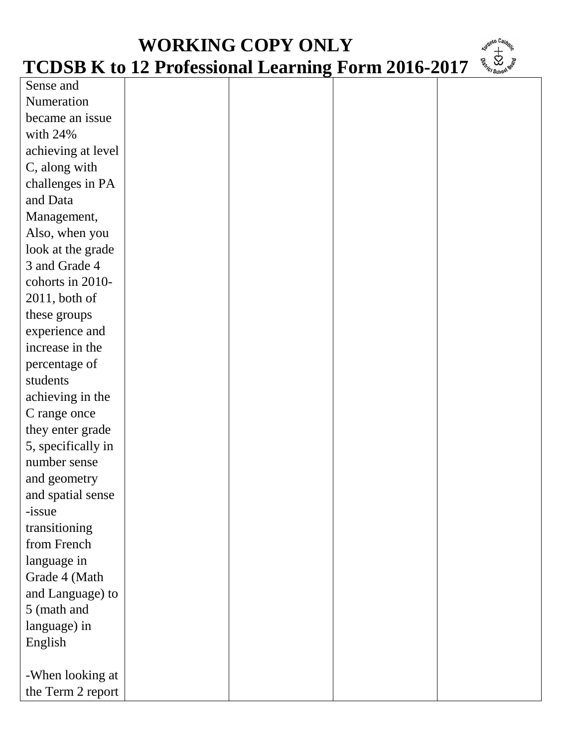| Sense and          |  |  |
|--------------------|--|--|
| Numeration         |  |  |
| became an issue    |  |  |
| with 24%           |  |  |
| achieving at level |  |  |
| C, along with      |  |  |
| challenges in PA   |  |  |
| and Data           |  |  |
| Management,        |  |  |
| Also, when you     |  |  |
| look at the grade  |  |  |
| 3 and Grade 4      |  |  |
| cohorts in 2010-   |  |  |
| $2011$ , both of   |  |  |
| these groups       |  |  |
| experience and     |  |  |
| increase in the    |  |  |
| percentage of      |  |  |
| students           |  |  |
| achieving in the   |  |  |
| C range once       |  |  |
| they enter grade   |  |  |
| 5, specifically in |  |  |
| number sense       |  |  |
| and geometry       |  |  |
| and spatial sense  |  |  |
| -issue             |  |  |
| transitioning      |  |  |
| from French        |  |  |
| language in        |  |  |
| Grade 4 (Math      |  |  |
| and Language) to   |  |  |
| 5 (math and        |  |  |
| language) in       |  |  |
| English            |  |  |
|                    |  |  |
| -When looking at   |  |  |
| the Term 2 report  |  |  |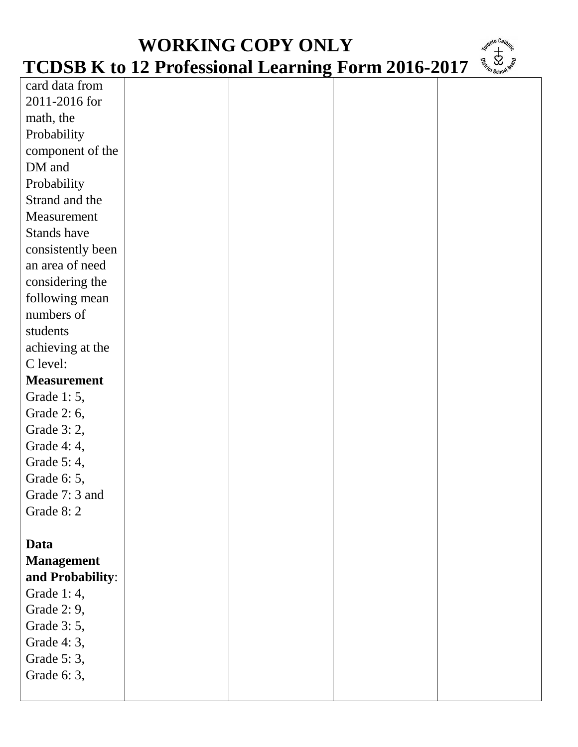| card data from     |  |  |
|--------------------|--|--|
| 2011-2016 for      |  |  |
| math, the          |  |  |
| Probability        |  |  |
| component of the   |  |  |
| DM and             |  |  |
| Probability        |  |  |
| Strand and the     |  |  |
| Measurement        |  |  |
| Stands have        |  |  |
| consistently been  |  |  |
| an area of need    |  |  |
| considering the    |  |  |
| following mean     |  |  |
| numbers of         |  |  |
| students           |  |  |
| achieving at the   |  |  |
| C level:           |  |  |
| <b>Measurement</b> |  |  |
| Grade 1:5,         |  |  |
| Grade 2: 6,        |  |  |
| Grade 3: 2,        |  |  |
| Grade 4: 4,        |  |  |
| Grade 5: 4,        |  |  |
| Grade 6: 5,        |  |  |
| Grade 7: 3 and     |  |  |
| Grade 8:2          |  |  |
|                    |  |  |
| Data               |  |  |
| <b>Management</b>  |  |  |
| and Probability:   |  |  |
| Grade 1: 4,        |  |  |
| Grade 2: 9,        |  |  |
| Grade 3: 5,        |  |  |
| Grade 4: 3,        |  |  |
| Grade 5: 3,        |  |  |
| Grade 6: 3,        |  |  |
|                    |  |  |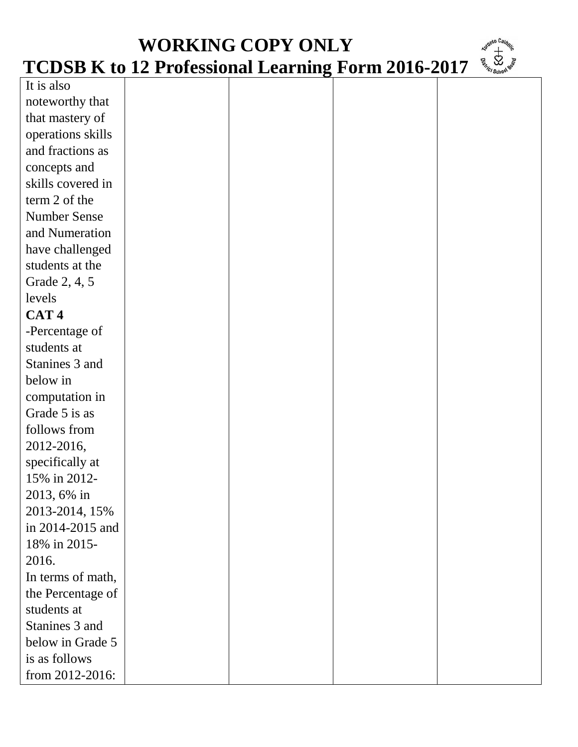| It is also        |  |  |
|-------------------|--|--|
| noteworthy that   |  |  |
| that mastery of   |  |  |
| operations skills |  |  |
| and fractions as  |  |  |
| concepts and      |  |  |
| skills covered in |  |  |
| term 2 of the     |  |  |
| Number Sense      |  |  |
| and Numeration    |  |  |
| have challenged   |  |  |
| students at the   |  |  |
| Grade 2, 4, 5     |  |  |
| levels            |  |  |
| CAT <sub>4</sub>  |  |  |
| -Percentage of    |  |  |
| students at       |  |  |
| Stanines 3 and    |  |  |
| below in          |  |  |
| computation in    |  |  |
| Grade 5 is as     |  |  |
| follows from      |  |  |
| 2012-2016,        |  |  |
| specifically at   |  |  |
| 15% in 2012-      |  |  |
| 2013, 6% in       |  |  |
| 2013-2014, 15%    |  |  |
| in 2014-2015 and  |  |  |
| 18% in 2015-      |  |  |
| 2016.             |  |  |
| In terms of math, |  |  |
| the Percentage of |  |  |
| students at       |  |  |
| Stanines 3 and    |  |  |
| below in Grade 5  |  |  |
| is as follows     |  |  |
| from 2012-2016:   |  |  |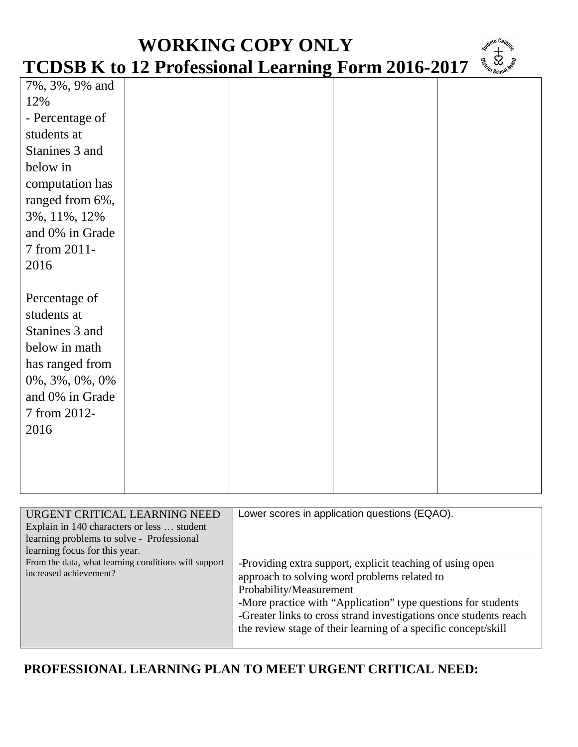| <b>WORKING COPY ONLY</b><br><b>TCDSB K to 12 Professional Learning Form 2016-2017</b>                                                                                                  |  |  |  |  |  |  |
|----------------------------------------------------------------------------------------------------------------------------------------------------------------------------------------|--|--|--|--|--|--|
| 7%, 3%, 9% and<br>12%<br>- Percentage of<br>students at<br>Stanines 3 and<br>below in<br>computation has<br>ranged from 6%,<br>3%, 11%, 12%<br>and 0% in Grade<br>7 from 2011-<br>2016 |  |  |  |  |  |  |
| Percentage of<br>students at<br>Stanines 3 and<br>below in math<br>has ranged from<br>0%, 3%, 0%, 0%<br>and 0% in Grade<br>7 from 2012-<br>2016                                        |  |  |  |  |  |  |

| URGENT CRITICAL LEARNING NEED<br>Explain in 140 characters or less  student<br>learning problems to solve - Professional<br>learning focus for this year. | Lower scores in application questions (EQAO).                                                                                                                                                                                                                                                                                                |
|-----------------------------------------------------------------------------------------------------------------------------------------------------------|----------------------------------------------------------------------------------------------------------------------------------------------------------------------------------------------------------------------------------------------------------------------------------------------------------------------------------------------|
| From the data, what learning conditions will support<br>increased achievement?                                                                            | -Providing extra support, explicit teaching of using open<br>approach to solving word problems related to<br>Probability/Measurement<br>-More practice with "Application" type questions for students<br>-Greater links to cross strand investigations once students reach<br>the review stage of their learning of a specific concept/skill |

#### **PROFESSIONAL LEARNING PLAN TO MEET URGENT CRITICAL NEED:**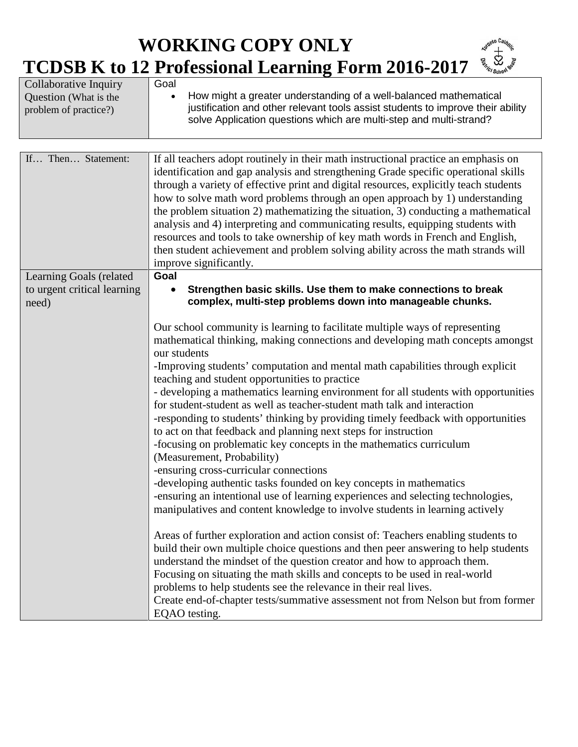#### **WORKING COPY ONLY Asher Advertising TCDSB K to 12 Professional Learning Form 2016-2017**

Areas of further exploration and action consist of: Teachers enabling students to build their own multiple choice questions and then peer answering to help students understand the mindset of the question creator and how to approach them. Focusing on situating the math skills and concepts to be used in real-world problems to help students see the relevance in their real lives. Create end-of-chapter tests/summative assessment not from Nelson but from former

EQAO testing.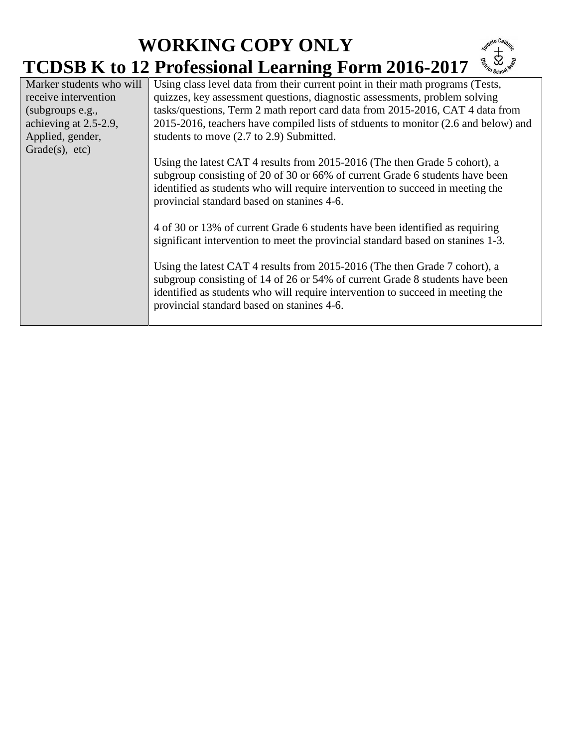| Marker students who will | Using class level data from their current point in their math programs (Tests,                                                                                                                                                                                                             |
|--------------------------|--------------------------------------------------------------------------------------------------------------------------------------------------------------------------------------------------------------------------------------------------------------------------------------------|
|                          |                                                                                                                                                                                                                                                                                            |
| receive intervention     | quizzes, key assessment questions, diagnostic assessments, problem solving                                                                                                                                                                                                                 |
| (subgroups e.g.,         | tasks/questions, Term 2 math report card data from 2015-2016, CAT 4 data from                                                                                                                                                                                                              |
| achieving at 2.5-2.9,    | 2015-2016, teachers have compiled lists of stduents to monitor (2.6 and below) and                                                                                                                                                                                                         |
| Applied, gender,         | students to move (2.7 to 2.9) Submitted.                                                                                                                                                                                                                                                   |
| Grade(s), etc)           |                                                                                                                                                                                                                                                                                            |
|                          | Using the latest CAT 4 results from 2015-2016 (The then Grade 5 cohort), a<br>subgroup consisting of 20 of 30 or 66% of current Grade 6 students have been<br>identified as students who will require intervention to succeed in meeting the<br>provincial standard based on stanines 4-6. |
|                          | 4 of 30 or 13% of current Grade 6 students have been identified as requiring<br>significant intervention to meet the provincial standard based on stanines 1-3.                                                                                                                            |
|                          | Using the latest CAT 4 results from 2015-2016 (The then Grade 7 cohort), a<br>subgroup consisting of 14 of 26 or 54% of current Grade 8 students have been<br>identified as students who will require intervention to succeed in meeting the<br>provincial standard based on stanines 4-6. |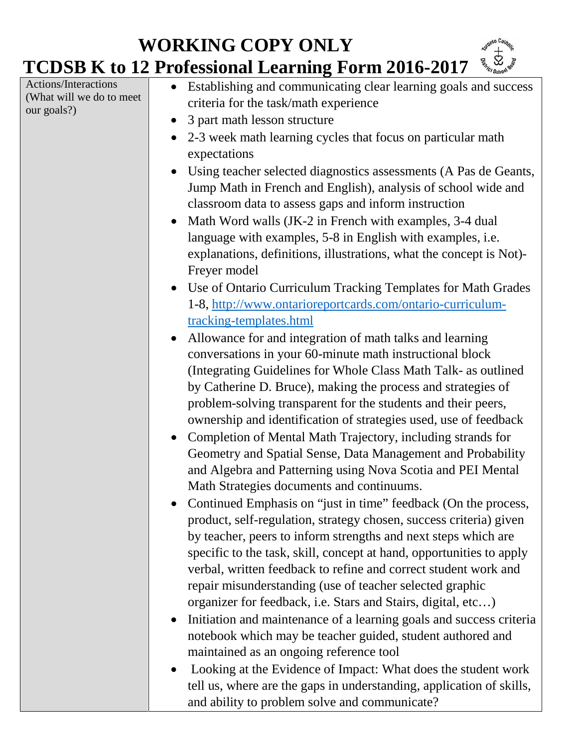Actions/Interactions (What will we do to meet our goals?)

- Establishing and communicating clear learning goals and success criteria for the task/math experience
- 3 part math lesson structure
- 2-3 week math learning cycles that focus on particular math expectations
- Using teacher selected diagnostics assessments (A Pas de Geants, Jump Math in French and English), analysis of school wide and classroom data to assess gaps and inform instruction
- Math Word walls (JK-2 in French with examples, 3-4 dual language with examples, 5-8 in English with examples, i.e. explanations, definitions, illustrations, what the concept is Not)- Freyer model
- Use of Ontario Curriculum Tracking Templates for Math Grades 1-8, [http://www.ontarioreportcards.com/ontario-curriculum](http://www.ontarioreportcards.com/ontario-curriculum-tracking-templates.html)[tracking-templates.html](http://www.ontarioreportcards.com/ontario-curriculum-tracking-templates.html)
- Allowance for and integration of math talks and learning conversations in your 60-minute math instructional block (Integrating Guidelines for Whole Class Math Talk- as outlined by Catherine D. Bruce), making the process and strategies of problem-solving transparent for the students and their peers, ownership and identification of strategies used, use of feedback
- Completion of Mental Math Trajectory, including strands for Geometry and Spatial Sense, Data Management and Probability and Algebra and Patterning using Nova Scotia and PEI Mental Math Strategies documents and continuums.
- Continued Emphasis on "just in time" feedback (On the process, product, self-regulation, strategy chosen, success criteria) given by teacher, peers to inform strengths and next steps which are specific to the task, skill, concept at hand, opportunities to apply verbal, written feedback to refine and correct student work and repair misunderstanding (use of teacher selected graphic organizer for feedback, i.e. Stars and Stairs, digital, etc…)
- Initiation and maintenance of a learning goals and success criteria notebook which may be teacher guided, student authored and maintained as an ongoing reference tool
- Looking at the Evidence of Impact: What does the student work tell us, where are the gaps in understanding, application of skills, and ability to problem solve and communicate?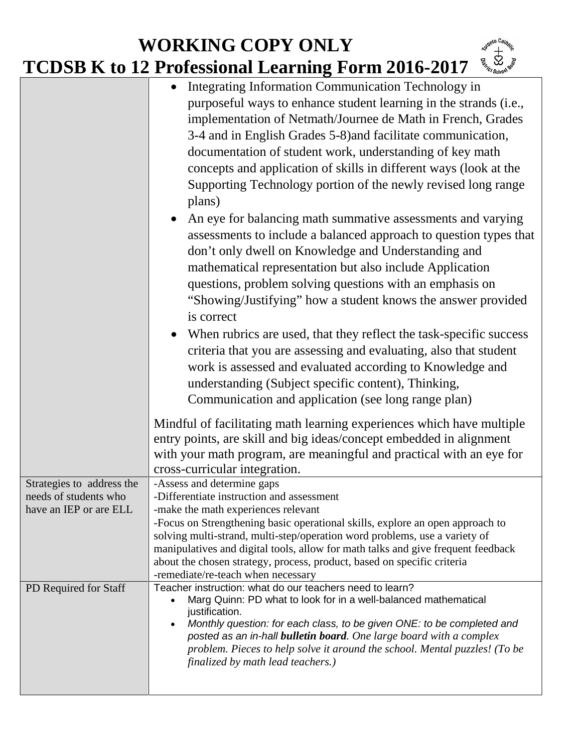|                                                 | Integrating Information Communication Technology in<br>purposeful ways to enhance student learning in the strands (i.e.,<br>implementation of Netmath/Journee de Math in French, Grades<br>3-4 and in English Grades 5-8) and facilitate communication,<br>documentation of student work, understanding of key math<br>concepts and application of skills in different ways (look at the<br>Supporting Technology portion of the newly revised long range<br>plans)<br>An eye for balancing math summative assessments and varying<br>assessments to include a balanced approach to question types that<br>don't only dwell on Knowledge and Understanding and<br>mathematical representation but also include Application<br>questions, problem solving questions with an emphasis on<br>"Showing/Justifying" how a student knows the answer provided<br>is correct<br>When rubrics are used, that they reflect the task-specific success<br>criteria that you are assessing and evaluating, also that student<br>work is assessed and evaluated according to Knowledge and<br>understanding (Subject specific content), Thinking,<br>Communication and application (see long range plan) |
|-------------------------------------------------|--------------------------------------------------------------------------------------------------------------------------------------------------------------------------------------------------------------------------------------------------------------------------------------------------------------------------------------------------------------------------------------------------------------------------------------------------------------------------------------------------------------------------------------------------------------------------------------------------------------------------------------------------------------------------------------------------------------------------------------------------------------------------------------------------------------------------------------------------------------------------------------------------------------------------------------------------------------------------------------------------------------------------------------------------------------------------------------------------------------------------------------------------------------------------------------------|
|                                                 | Mindful of facilitating math learning experiences which have multiple<br>entry points, are skill and big ideas/concept embedded in alignment<br>with your math program, are meaningful and practical with an eye for<br>cross-curricular integration.                                                                                                                                                                                                                                                                                                                                                                                                                                                                                                                                                                                                                                                                                                                                                                                                                                                                                                                                      |
| Strategies to address the                       | -Assess and determine gaps                                                                                                                                                                                                                                                                                                                                                                                                                                                                                                                                                                                                                                                                                                                                                                                                                                                                                                                                                                                                                                                                                                                                                                 |
| needs of students who<br>have an IEP or are ELL | -Differentiate instruction and assessment<br>-make the math experiences relevant                                                                                                                                                                                                                                                                                                                                                                                                                                                                                                                                                                                                                                                                                                                                                                                                                                                                                                                                                                                                                                                                                                           |
|                                                 | -Focus on Strengthening basic operational skills, explore an open approach to<br>solving multi-strand, multi-step/operation word problems, use a variety of<br>manipulatives and digital tools, allow for math talks and give frequent feedback<br>about the chosen strategy, process, product, based on specific criteria<br>-remediate/re-teach when necessary                                                                                                                                                                                                                                                                                                                                                                                                                                                                                                                                                                                                                                                                                                                                                                                                                           |
| PD Required for Staff                           | Teacher instruction: what do our teachers need to learn?<br>Marg Quinn: PD what to look for in a well-balanced mathematical<br>justification.<br>Monthly question: for each class, to be given ONE: to be completed and<br>$\bullet$<br>posted as an in-hall bulletin board. One large board with a complex<br>problem. Pieces to help solve it around the school. Mental puzzles! (To be<br>finalized by math lead teachers.)                                                                                                                                                                                                                                                                                                                                                                                                                                                                                                                                                                                                                                                                                                                                                             |